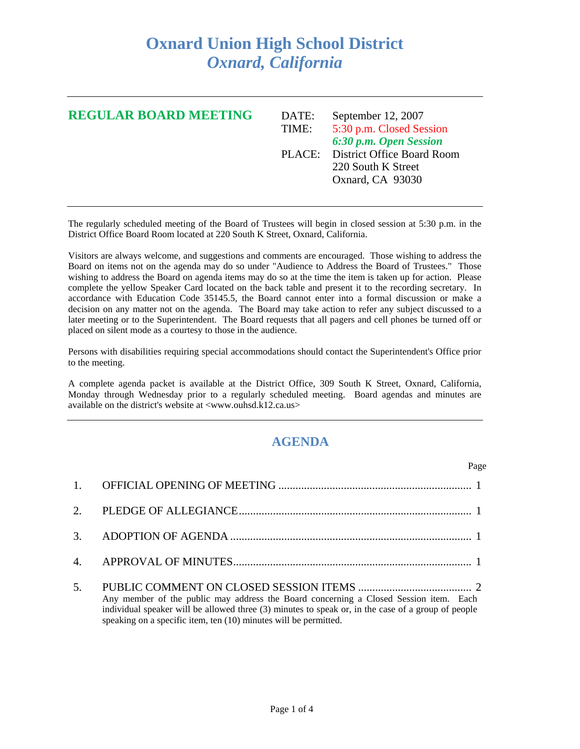## **Oxnard Union High School District**  *Oxnard, California*

| <b>REGULAR BOARD MEETING</b> | DATE:<br>TIME: | September 12, 2007<br>5:30 p.m. Closed Session<br>6:30 p.m. Open Session    |
|------------------------------|----------------|-----------------------------------------------------------------------------|
|                              |                | PLACE: District Office Board Room<br>220 South K Street<br>Oxnard, CA 93030 |

The regularly scheduled meeting of the Board of Trustees will begin in closed session at 5:30 p.m. in the District Office Board Room located at 220 South K Street, Oxnard, California.

Visitors are always welcome, and suggestions and comments are encouraged. Those wishing to address the Board on items not on the agenda may do so under "Audience to Address the Board of Trustees." Those wishing to address the Board on agenda items may do so at the time the item is taken up for action. Please complete the yellow Speaker Card located on the back table and present it to the recording secretary. In accordance with Education Code 35145.5, the Board cannot enter into a formal discussion or make a decision on any matter not on the agenda. The Board may take action to refer any subject discussed to a later meeting or to the Superintendent. The Board requests that all pagers and cell phones be turned off or placed on silent mode as a courtesy to those in the audience.

Persons with disabilities requiring special accommodations should contact the Superintendent's Office prior to the meeting.

A complete agenda packet is available at the District Office, 309 South K Street, Oxnard, California, Monday through Wednesday prior to a regularly scheduled meeting. Board agendas and minutes are available on the district's website at <www.ouhsd.k12.ca.us>

## **AGENDA**

| Page                                                                                                                                                                                                                                                            |
|-----------------------------------------------------------------------------------------------------------------------------------------------------------------------------------------------------------------------------------------------------------------|
|                                                                                                                                                                                                                                                                 |
|                                                                                                                                                                                                                                                                 |
|                                                                                                                                                                                                                                                                 |
|                                                                                                                                                                                                                                                                 |
| Any member of the public may address the Board concerning a Closed Session item. Each<br>individual speaker will be allowed three (3) minutes to speak or, in the case of a group of people<br>speaking on a specific item, ten (10) minutes will be permitted. |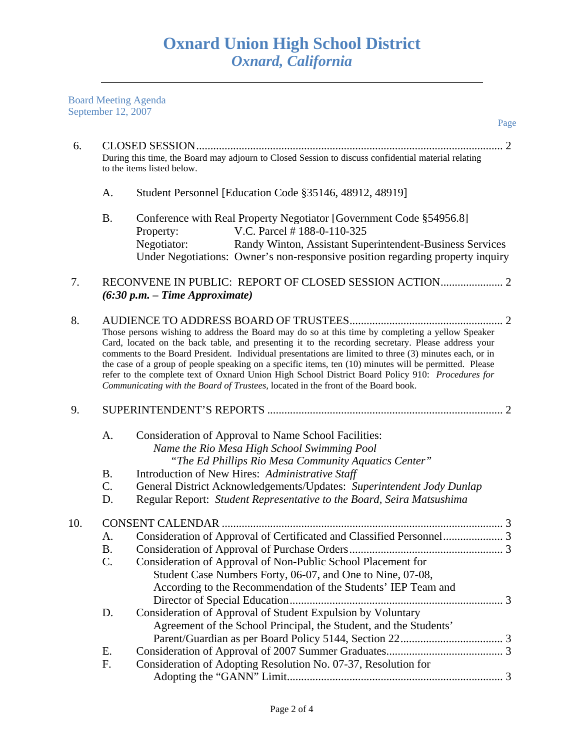Board Meeting Agenda September 12, 2007

|     | $Step$ c $12, 2007$                                                                                                                                                                                                                                                                                                                                                                                                                                                                                                                                                                                                 | Page                                                                                                                                                                                                                                                                        |
|-----|---------------------------------------------------------------------------------------------------------------------------------------------------------------------------------------------------------------------------------------------------------------------------------------------------------------------------------------------------------------------------------------------------------------------------------------------------------------------------------------------------------------------------------------------------------------------------------------------------------------------|-----------------------------------------------------------------------------------------------------------------------------------------------------------------------------------------------------------------------------------------------------------------------------|
| 6.  |                                                                                                                                                                                                                                                                                                                                                                                                                                                                                                                                                                                                                     | During this time, the Board may adjourn to Closed Session to discuss confidential material relating<br>to the items listed below.                                                                                                                                           |
|     | A.                                                                                                                                                                                                                                                                                                                                                                                                                                                                                                                                                                                                                  | Student Personnel [Education Code §35146, 48912, 48919]                                                                                                                                                                                                                     |
|     | <b>B.</b>                                                                                                                                                                                                                                                                                                                                                                                                                                                                                                                                                                                                           | Conference with Real Property Negotiator [Government Code §54956.8]<br>V.C. Parcel #188-0-110-325<br>Property:<br>Negotiator:<br>Randy Winton, Assistant Superintendent-Business Services<br>Under Negotiations: Owner's non-responsive position regarding property inquiry |
| 7.  |                                                                                                                                                                                                                                                                                                                                                                                                                                                                                                                                                                                                                     | $(6:30 p.m. - Time Approximate)$                                                                                                                                                                                                                                            |
| 8.  | Those persons wishing to address the Board may do so at this time by completing a yellow Speaker<br>Card, located on the back table, and presenting it to the recording secretary. Please address your<br>comments to the Board President. Individual presentations are limited to three (3) minutes each, or in<br>the case of a group of people speaking on a specific items, ten (10) minutes will be permitted. Please<br>refer to the complete text of Oxnard Union High School District Board Policy 910: Procedures for<br>Communicating with the Board of Trustees, located in the front of the Board book. |                                                                                                                                                                                                                                                                             |
| 9.  |                                                                                                                                                                                                                                                                                                                                                                                                                                                                                                                                                                                                                     |                                                                                                                                                                                                                                                                             |
|     | A.                                                                                                                                                                                                                                                                                                                                                                                                                                                                                                                                                                                                                  | Consideration of Approval to Name School Facilities:<br>Name the Rio Mesa High School Swimming Pool<br>"The Ed Phillips Rio Mesa Community Aquatics Center"                                                                                                                 |
|     | <b>B.</b>                                                                                                                                                                                                                                                                                                                                                                                                                                                                                                                                                                                                           | Introduction of New Hires: Administrative Staff                                                                                                                                                                                                                             |
|     | C.<br>D.                                                                                                                                                                                                                                                                                                                                                                                                                                                                                                                                                                                                            | General District Acknowledgements/Updates: Superintendent Jody Dunlap<br>Regular Report: Student Representative to the Board, Seira Matsushima                                                                                                                              |
| 10. |                                                                                                                                                                                                                                                                                                                                                                                                                                                                                                                                                                                                                     |                                                                                                                                                                                                                                                                             |
|     | А.                                                                                                                                                                                                                                                                                                                                                                                                                                                                                                                                                                                                                  | Consideration of Approval of Certificated and Classified Personnel 3                                                                                                                                                                                                        |
|     | <b>B.</b>                                                                                                                                                                                                                                                                                                                                                                                                                                                                                                                                                                                                           |                                                                                                                                                                                                                                                                             |
|     | C.                                                                                                                                                                                                                                                                                                                                                                                                                                                                                                                                                                                                                  | Consideration of Approval of Non-Public School Placement for                                                                                                                                                                                                                |
|     |                                                                                                                                                                                                                                                                                                                                                                                                                                                                                                                                                                                                                     | Student Case Numbers Forty, 06-07, and One to Nine, 07-08,<br>According to the Recommendation of the Students' IEP Team and                                                                                                                                                 |
|     | D.                                                                                                                                                                                                                                                                                                                                                                                                                                                                                                                                                                                                                  | Consideration of Approval of Student Expulsion by Voluntary<br>Agreement of the School Principal, the Student, and the Students'                                                                                                                                            |
|     | Ε.                                                                                                                                                                                                                                                                                                                                                                                                                                                                                                                                                                                                                  |                                                                                                                                                                                                                                                                             |
|     | F.                                                                                                                                                                                                                                                                                                                                                                                                                                                                                                                                                                                                                  | Consideration of Adopting Resolution No. 07-37, Resolution for                                                                                                                                                                                                              |

Adopting the "GANN" Limit ............................................................................ 3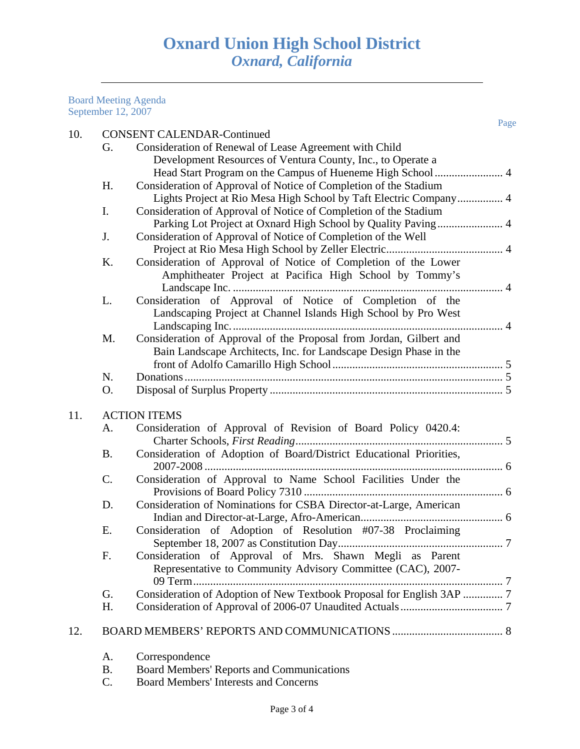Board Meeting Agenda September 12, 2007

11.

|     |           |                                                                       | Page |
|-----|-----------|-----------------------------------------------------------------------|------|
| 10. |           | <b>CONSENT CALENDAR-Continued</b>                                     |      |
|     | G.        | Consideration of Renewal of Lease Agreement with Child                |      |
|     |           | Development Resources of Ventura County, Inc., to Operate a           |      |
|     |           |                                                                       |      |
|     | H.        | Consideration of Approval of Notice of Completion of the Stadium      |      |
|     |           | Lights Project at Rio Mesa High School by Taft Electric Company 4     |      |
|     | Ι.        | Consideration of Approval of Notice of Completion of the Stadium      |      |
|     |           | Parking Lot Project at Oxnard High School by Quality Paving  4        |      |
|     | J.        | Consideration of Approval of Notice of Completion of the Well         |      |
|     |           |                                                                       |      |
|     | Κ.        | Consideration of Approval of Notice of Completion of the Lower        |      |
|     |           | Amphitheater Project at Pacifica High School by Tommy's               |      |
|     |           |                                                                       |      |
|     | L.        | Consideration of Approval of Notice of Completion of the              |      |
|     |           | Landscaping Project at Channel Islands High School by Pro West        |      |
|     |           |                                                                       |      |
|     | M.        | Consideration of Approval of the Proposal from Jordan, Gilbert and    |      |
|     |           | Bain Landscape Architects, Inc. for Landscape Design Phase in the     |      |
|     |           |                                                                       |      |
|     | N.        |                                                                       |      |
|     | O.        |                                                                       |      |
| 11. |           | <b>ACTION ITEMS</b>                                                   |      |
|     | A.        | Consideration of Approval of Revision of Board Policy 0420.4:         |      |
|     |           |                                                                       |      |
|     | <b>B.</b> | Consideration of Adoption of Board/District Educational Priorities,   |      |
|     |           |                                                                       |      |
|     | C.        | Consideration of Approval to Name School Facilities Under the         |      |
|     |           |                                                                       |      |
|     | D.        | Consideration of Nominations for CSBA Director-at-Large, American     |      |
|     |           |                                                                       |      |
|     | Ε.        | Consideration of Adoption of Resolution #07-38 Proclaiming            |      |
|     |           |                                                                       |      |
|     | F.        | Consideration of Approval of Mrs. Shawn Megli as Parent               |      |
|     |           | Representative to Community Advisory Committee (CAC), 2007-           |      |
|     |           | 09 Term                                                               |      |
|     | G.        | Consideration of Adoption of New Textbook Proposal for English 3AP  7 |      |
|     | Η.        |                                                                       |      |
|     |           |                                                                       |      |
| 12. |           |                                                                       |      |
|     |           |                                                                       |      |

- A. Correspondence
- B. Board Members' Reports and Communications<br>C. Board Members' Interests and Concerns
- Board Members' Interests and Concerns